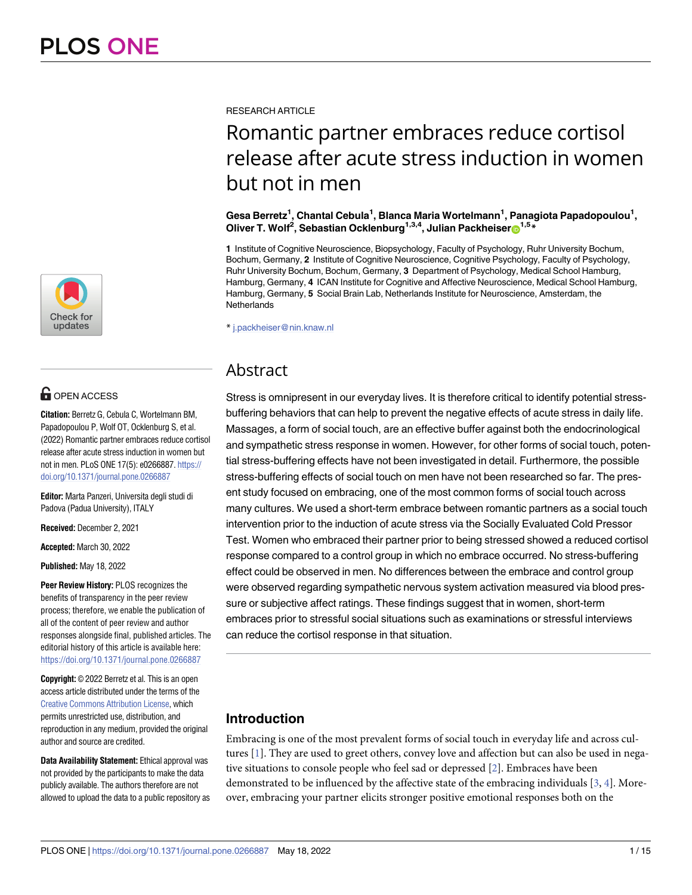

# **G** OPEN ACCESS

**Citation:** Berretz G, Cebula C, Wortelmann BM, Papadopoulou P, Wolf OT, Ocklenburg S, et al. (2022) Romantic partner embraces reduce cortisol release after acute stress induction in women but not in men. PLoS ONE 17(5): e0266887. [https://](https://doi.org/10.1371/journal.pone.0266887) [doi.org/10.1371/journal.pone.0266887](https://doi.org/10.1371/journal.pone.0266887)

**Editor:** Marta Panzeri, Universita degli studi di Padova (Padua University), ITALY

**Received:** December 2, 2021

**Accepted:** March 30, 2022

**Published:** May 18, 2022

**Peer Review History:** PLOS recognizes the benefits of transparency in the peer review process; therefore, we enable the publication of all of the content of peer review and author responses alongside final, published articles. The editorial history of this article is available here: <https://doi.org/10.1371/journal.pone.0266887>

**Copyright:** © 2022 Berretz et al. This is an open access article distributed under the terms of the Creative Commons [Attribution](http://creativecommons.org/licenses/by/4.0/) License, which permits unrestricted use, distribution, and reproduction in any medium, provided the original author and source are credited.

**Data Availability Statement:** Ethical approval was not provided by the participants to make the data publicly available. The authors therefore are not allowed to upload the data to a public repository as <span id="page-0-0"></span>RESEARCH ARTICLE

# Romantic partner embraces reduce cortisol release after acute stress induction in women but not in men

#### $\bf{Gesa Berretz}^1$ , Chantal Cebula<sup>1</sup>, Blanca Maria Wortelmann<sup>1</sup>, Panagiota Papadopoulou<sup>1</sup>, **Oliver T. Wolf<sup>2</sup>, Sebastian Ocklenburg<sup>1,3,4</sup>, Julian Packheiser<sup>®1,5</sup>\***

**1** Institute of Cognitive Neuroscience, Biopsychology, Faculty of Psychology, Ruhr University Bochum, Bochum, Germany, **2** Institute of Cognitive Neuroscience, Cognitive Psychology, Faculty of Psychology, Ruhr University Bochum, Bochum, Germany, **3** Department of Psychology, Medical School Hamburg, Hamburg, Germany, **4** ICAN Institute for Cognitive and Affective Neuroscience, Medical School Hamburg, Hamburg, Germany, **5** Social Brain Lab, Netherlands Institute for Neuroscience, Amsterdam, the **Netherlands** 

\* j.packheiser@nin.knaw.nl

# Abstract

Stress is omnipresent in our everyday lives. It is therefore critical to identify potential stressbuffering behaviors that can help to prevent the negative effects of acute stress in daily life. Massages, a form of social touch, are an effective buffer against both the endocrinological and sympathetic stress response in women. However, for other forms of social touch, potential stress-buffering effects have not been investigated in detail. Furthermore, the possible stress-buffering effects of social touch on men have not been researched so far. The present study focused on embracing, one of the most common forms of social touch across many cultures. We used a short-term embrace between romantic partners as a social touch intervention prior to the induction of acute stress via the Socially Evaluated Cold Pressor Test. Women who embraced their partner prior to being stressed showed a reduced cortisol response compared to a control group in which no embrace occurred. No stress-buffering effect could be observed in men. No differences between the embrace and control group were observed regarding sympathetic nervous system activation measured via blood pressure or subjective affect ratings. These findings suggest that in women, short-term embraces prior to stressful social situations such as examinations or stressful interviews can reduce the cortisol response in that situation.

# **Introduction**

Embracing is one of the most prevalent forms of social touch in everyday life and across cultures [\[1](#page-12-0)]. They are used to greet others, convey love and affection but can also be used in negative situations to console people who feel sad or depressed [\[2](#page-12-0)]. Embraces have been demonstrated to be influenced by the affective state of the embracing individuals [\[3](#page-12-0), [4](#page-12-0)]. Moreover, embracing your partner elicits stronger positive emotional responses both on the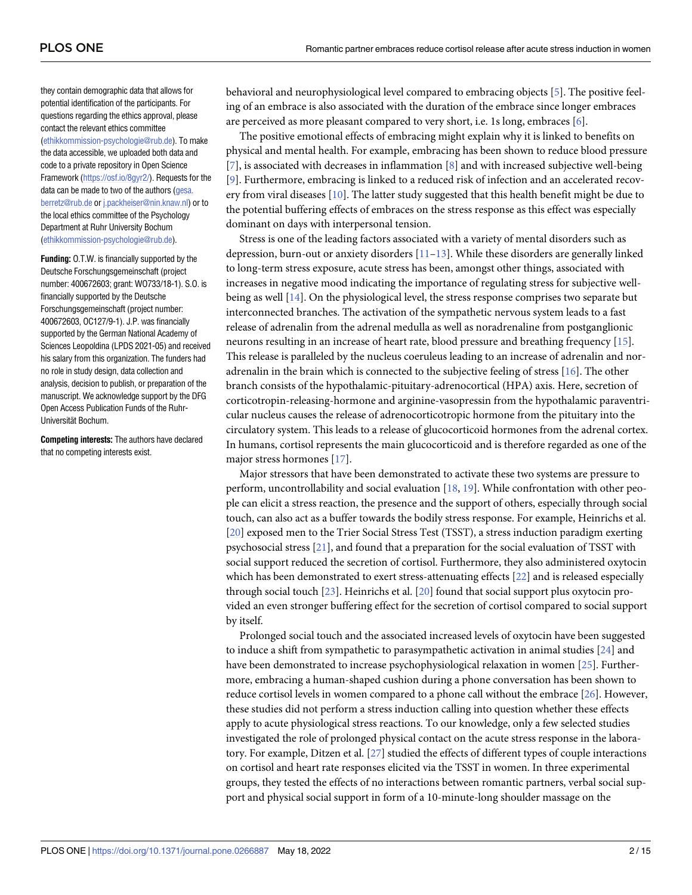<span id="page-1-0"></span>they contain demographic data that allows for potential identification of the participants. For questions regarding the ethics approval, please contact the relevant ethics committee [\(ethikkommission-psychologie@rub.de](mailto:ethikkommission-psychologie@rub.de)). To make the data accessible, we uploaded both data and code to a private repository in Open Science Framework (<https://osf.io/8gyr2/>). Requests for the data can be made to two of the authors ([gesa.](mailto:gesa.berretz@rub.de) [berretz@rub.de](mailto:gesa.berretz@rub.de) or [j.packheiser@nin.knaw.nl](mailto:j.packheiser@nin.knaw.nl)) or to the local ethics committee of the Psychology Department at Ruhr University Bochum [\(ethikkommission-psychologie@rub.de](mailto:ethikkommission-psychologie@rub.de)).

**Funding:** O.T.W. is financially supported by the Deutsche Forschungsgemeinschaft (project number: 400672603; grant: WO733/18-1). S.O. is financially supported by the Deutsche Forschungsgemeinschaft (project number: 400672603, OC127/9-1). J.P. was financially supported by the German National Academy of Sciences Leopoldina (LPDS 2021-05) and received his salary from this organization. The funders had no role in study design, data collection and analysis, decision to publish, or preparation of the manuscript. We acknowledge support by the DFG Open Access Publication Funds of the Ruhr-Universität Bochum.

**Competing interests:** The authors have declared that no competing interests exist.

behavioral and neurophysiological level compared to embracing objects [\[5](#page-12-0)]. The positive feeling of an embrace is also associated with the duration of the embrace since longer embraces are perceived as more pleasant compared to very short, i.e. 1s long, embraces [\[6\]](#page-12-0).

The positive emotional effects of embracing might explain why it is linked to benefits on physical and mental health. For example, embracing has been shown to reduce blood pressure  $[7]$  $[7]$ , is associated with decreases in inflammation  $[8]$  $[8]$  and with increased subjective well-being [\[9](#page-12-0)]. Furthermore, embracing is linked to a reduced risk of infection and an accelerated recovery from viral diseases [[10](#page-12-0)]. The latter study suggested that this health benefit might be due to the potential buffering effects of embraces on the stress response as this effect was especially dominant on days with interpersonal tension.

Stress is one of the leading factors associated with a variety of mental disorders such as depression, burn-out or anxiety disorders  $[11-13]$ . While these disorders are generally linked to long-term stress exposure, acute stress has been, amongst other things, associated with increases in negative mood indicating the importance of regulating stress for subjective wellbeing as well [\[14\]](#page-12-0). On the physiological level, the stress response comprises two separate but interconnected branches. The activation of the sympathetic nervous system leads to a fast release of adrenalin from the adrenal medulla as well as noradrenaline from postganglionic neurons resulting in an increase of heart rate, blood pressure and breathing frequency [\[15\]](#page-12-0). This release is paralleled by the nucleus coeruleus leading to an increase of adrenalin and noradrenalin in the brain which is connected to the subjective feeling of stress [\[16\]](#page-12-0). The other branch consists of the hypothalamic-pituitary-adrenocortical (HPA) axis. Here, secretion of corticotropin-releasing-hormone and arginine-vasopressin from the hypothalamic paraventricular nucleus causes the release of adrenocorticotropic hormone from the pituitary into the circulatory system. This leads to a release of glucocorticoid hormones from the adrenal cortex. In humans, cortisol represents the main glucocorticoid and is therefore regarded as one of the major stress hormones [\[17\]](#page-12-0).

Major stressors that have been demonstrated to activate these two systems are pressure to perform, uncontrollability and social evaluation [[18](#page-13-0), [19\]](#page-13-0). While confrontation with other people can elicit a stress reaction, the presence and the support of others, especially through social touch, can also act as a buffer towards the bodily stress response. For example, Heinrichs et al. [\[20\]](#page-13-0) exposed men to the Trier Social Stress Test (TSST), a stress induction paradigm exerting psychosocial stress [[21](#page-13-0)], and found that a preparation for the social evaluation of TSST with social support reduced the secretion of cortisol. Furthermore, they also administered oxytocin which has been demonstrated to exert stress-attenuating effects [[22](#page-13-0)] and is released especially through social touch [\[23\]](#page-13-0). Heinrichs et al. [[20](#page-13-0)] found that social support plus oxytocin provided an even stronger buffering effect for the secretion of cortisol compared to social support by itself.

Prolonged social touch and the associated increased levels of oxytocin have been suggested to induce a shift from sympathetic to parasympathetic activation in animal studies [\[24\]](#page-13-0) and have been demonstrated to increase psychophysiological relaxation in women [[25](#page-13-0)]. Furthermore, embracing a human-shaped cushion during a phone conversation has been shown to reduce cortisol levels in women compared to a phone call without the embrace [\[26\]](#page-13-0). However, these studies did not perform a stress induction calling into question whether these effects apply to acute physiological stress reactions. To our knowledge, only a few selected studies investigated the role of prolonged physical contact on the acute stress response in the laboratory. For example, Ditzen et al. [[27](#page-13-0)] studied the effects of different types of couple interactions on cortisol and heart rate responses elicited via the TSST in women. In three experimental groups, they tested the effects of no interactions between romantic partners, verbal social support and physical social support in form of a 10-minute-long shoulder massage on the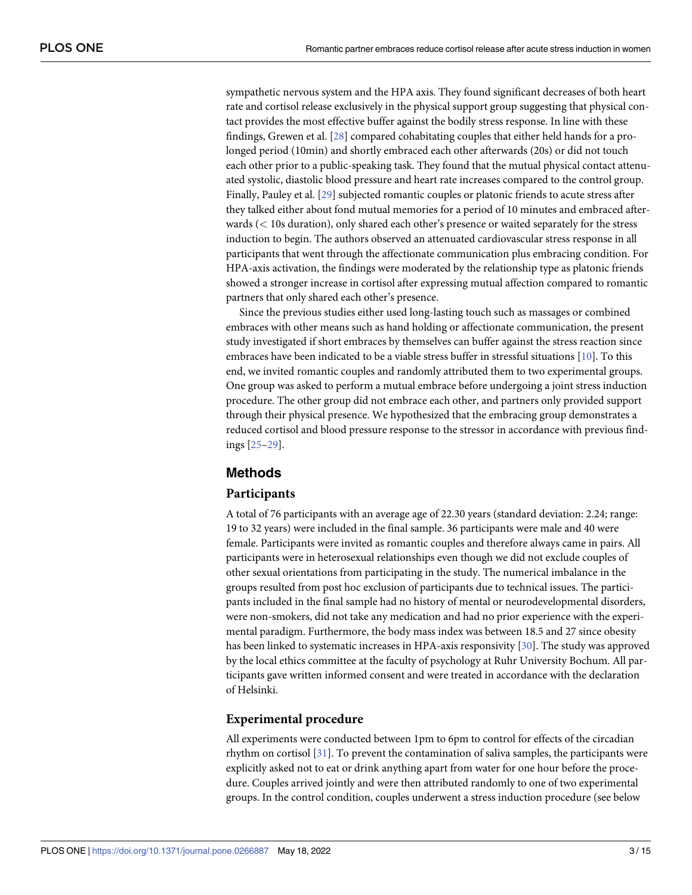<span id="page-2-0"></span>sympathetic nervous system and the HPA axis. They found significant decreases of both heart rate and cortisol release exclusively in the physical support group suggesting that physical contact provides the most effective buffer against the bodily stress response. In line with these findings, Grewen et al. [\[28\]](#page-13-0) compared cohabitating couples that either held hands for a prolonged period (10min) and shortly embraced each other afterwards (20s) or did not touch each other prior to a public-speaking task. They found that the mutual physical contact attenuated systolic, diastolic blood pressure and heart rate increases compared to the control group. Finally, Pauley et al. [\[29\]](#page-13-0) subjected romantic couples or platonic friends to acute stress after they talked either about fond mutual memories for a period of 10 minutes and embraced afterwards (*<* 10s duration), only shared each other's presence or waited separately for the stress induction to begin. The authors observed an attenuated cardiovascular stress response in all participants that went through the affectionate communication plus embracing condition. For HPA-axis activation, the findings were moderated by the relationship type as platonic friends showed a stronger increase in cortisol after expressing mutual affection compared to romantic partners that only shared each other's presence.

Since the previous studies either used long-lasting touch such as massages or combined embraces with other means such as hand holding or affectionate communication, the present study investigated if short embraces by themselves can buffer against the stress reaction since embraces have been indicated to be a viable stress buffer in stressful situations [\[10\]](#page-12-0). To this end, we invited romantic couples and randomly attributed them to two experimental groups. One group was asked to perform a mutual embrace before undergoing a joint stress induction procedure. The other group did not embrace each other, and partners only provided support through their physical presence. We hypothesized that the embracing group demonstrates a reduced cortisol and blood pressure response to the stressor in accordance with previous findings [\[25–29](#page-13-0)].

## **Methods**

#### **Participants**

A total of 76 participants with an average age of 22.30 years (standard deviation: 2.24; range: 19 to 32 years) were included in the final sample. 36 participants were male and 40 were female. Participants were invited as romantic couples and therefore always came in pairs. All participants were in heterosexual relationships even though we did not exclude couples of other sexual orientations from participating in the study. The numerical imbalance in the groups resulted from post hoc exclusion of participants due to technical issues. The participants included in the final sample had no history of mental or neurodevelopmental disorders, were non-smokers, did not take any medication and had no prior experience with the experimental paradigm. Furthermore, the body mass index was between 18.5 and 27 since obesity has been linked to systematic increases in HPA-axis responsivity [\[30\]](#page-13-0). The study was approved by the local ethics committee at the faculty of psychology at Ruhr University Bochum. All participants gave written informed consent and were treated in accordance with the declaration of Helsinki.

#### **Experimental procedure**

All experiments were conducted between 1pm to 6pm to control for effects of the circadian rhythm on cortisol [\[31\]](#page-13-0). To prevent the contamination of saliva samples, the participants were explicitly asked not to eat or drink anything apart from water for one hour before the procedure. Couples arrived jointly and were then attributed randomly to one of two experimental groups. In the control condition, couples underwent a stress induction procedure (see below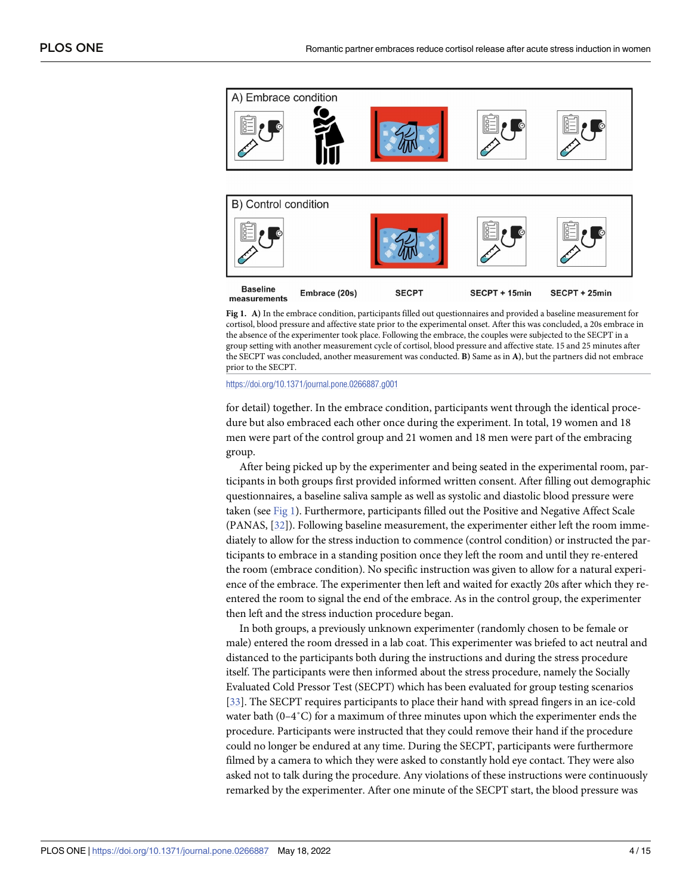<span id="page-3-0"></span>

**Fig 1. A)** In the embrace condition, participants filled out questionnaires and provided a baseline measurement for cortisol, blood pressure and affective state prior to the experimental onset. After this was concluded, a 20s embrace in the absence of the experimenter took place. Following the embrace, the couples were subjected to the SECPT in a group setting with another measurement cycle of cortisol, blood pressure and affective state. 15 and 25 minutes after the SECPT was concluded, another measurement was conducted. **B)** Same as in **A)**, but the partners did not embrace prior to the SECPT.

<https://doi.org/10.1371/journal.pone.0266887.g001>

for detail) together. In the embrace condition, participants went through the identical procedure but also embraced each other once during the experiment. In total, 19 women and 18 men were part of the control group and 21 women and 18 men were part of the embracing group.

After being picked up by the experimenter and being seated in the experimental room, participants in both groups first provided informed written consent. After filling out demographic questionnaires, a baseline saliva sample as well as systolic and diastolic blood pressure were taken (see Fig 1). Furthermore, participants filled out the Positive and Negative Affect Scale (PANAS, [[32](#page-13-0)]). Following baseline measurement, the experimenter either left the room immediately to allow for the stress induction to commence (control condition) or instructed the participants to embrace in a standing position once they left the room and until they re-entered the room (embrace condition). No specific instruction was given to allow for a natural experience of the embrace. The experimenter then left and waited for exactly 20s after which they reentered the room to signal the end of the embrace. As in the control group, the experimenter then left and the stress induction procedure began.

In both groups, a previously unknown experimenter (randomly chosen to be female or male) entered the room dressed in a lab coat. This experimenter was briefed to act neutral and distanced to the participants both during the instructions and during the stress procedure itself. The participants were then informed about the stress procedure, namely the Socially Evaluated Cold Pressor Test (SECPT) which has been evaluated for group testing scenarios [\[33\]](#page-13-0). The SECPT requires participants to place their hand with spread fingers in an ice-cold water bath  $(0-4\degree C)$  for a maximum of three minutes upon which the experimenter ends the procedure. Participants were instructed that they could remove their hand if the procedure could no longer be endured at any time. During the SECPT, participants were furthermore filmed by a camera to which they were asked to constantly hold eye contact. They were also asked not to talk during the procedure. Any violations of these instructions were continuously remarked by the experimenter. After one minute of the SECPT start, the blood pressure was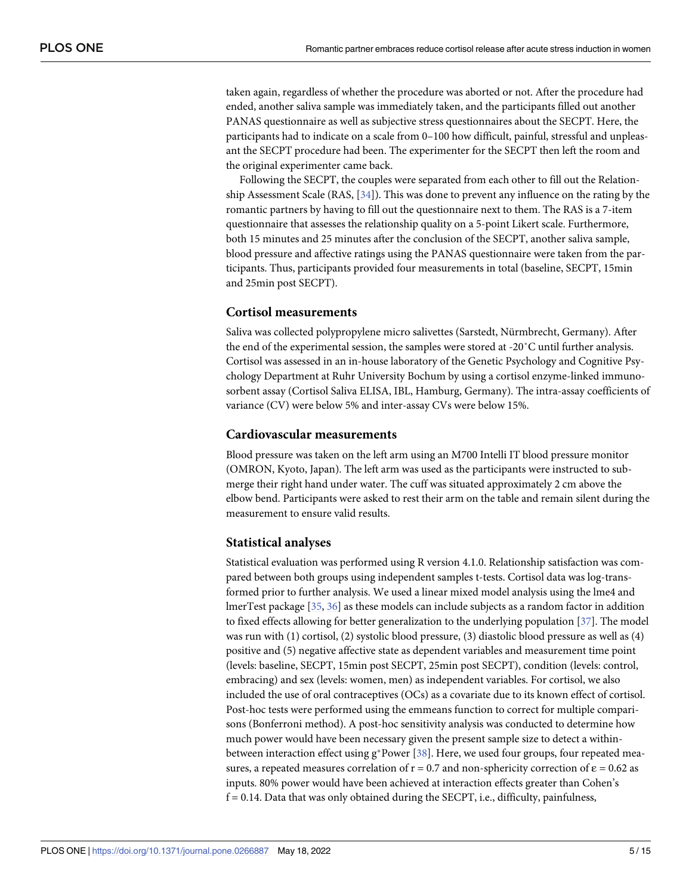<span id="page-4-0"></span>taken again, regardless of whether the procedure was aborted or not. After the procedure had ended, another saliva sample was immediately taken, and the participants filled out another PANAS questionnaire as well as subjective stress questionnaires about the SECPT. Here, the participants had to indicate on a scale from 0–100 how difficult, painful, stressful and unpleasant the SECPT procedure had been. The experimenter for the SECPT then left the room and the original experimenter came back.

Following the SECPT, the couples were separated from each other to fill out the Relationship Assessment Scale (RAS, [[34](#page-13-0)]). This was done to prevent any influence on the rating by the romantic partners by having to fill out the questionnaire next to them. The RAS is a 7-item questionnaire that assesses the relationship quality on a 5-point Likert scale. Furthermore, both 15 minutes and 25 minutes after the conclusion of the SECPT, another saliva sample, blood pressure and affective ratings using the PANAS questionnaire were taken from the participants. Thus, participants provided four measurements in total (baseline, SECPT, 15min and 25min post SECPT).

#### **Cortisol measurements**

Saliva was collected polypropylene micro salivettes (Sarstedt, Nürmbrecht, Germany). After the end of the experimental session, the samples were stored at -20˚C until further analysis. Cortisol was assessed in an in-house laboratory of the Genetic Psychology and Cognitive Psychology Department at Ruhr University Bochum by using a cortisol enzyme-linked immunosorbent assay (Cortisol Saliva ELISA, IBL, Hamburg, Germany). The intra-assay coefficients of variance (CV) were below 5% and inter-assay CVs were below 15%.

#### **Cardiovascular measurements**

Blood pressure was taken on the left arm using an M700 Intelli IT blood pressure monitor (OMRON, Kyoto, Japan). The left arm was used as the participants were instructed to submerge their right hand under water. The cuff was situated approximately 2 cm above the elbow bend. Participants were asked to rest their arm on the table and remain silent during the measurement to ensure valid results.

#### **Statistical analyses**

Statistical evaluation was performed using R version 4.1.0. Relationship satisfaction was compared between both groups using independent samples t-tests. Cortisol data was log-transformed prior to further analysis. We used a linear mixed model analysis using the lme4 and lmerTest package [\[35,](#page-13-0) [36\]](#page-13-0) as these models can include subjects as a random factor in addition to fixed effects allowing for better generalization to the underlying population [[37](#page-13-0)]. The model was run with (1) cortisol, (2) systolic blood pressure, (3) diastolic blood pressure as well as (4) positive and (5) negative affective state as dependent variables and measurement time point (levels: baseline, SECPT, 15min post SECPT, 25min post SECPT), condition (levels: control, embracing) and sex (levels: women, men) as independent variables. For cortisol, we also included the use of oral contraceptives (OCs) as a covariate due to its known effect of cortisol. Post-hoc tests were performed using the emmeans function to correct for multiple comparisons (Bonferroni method). A post-hoc sensitivity analysis was conducted to determine how much power would have been necessary given the present sample size to detect a withinbetween interaction effect using  $g^*$ Power [[38](#page-13-0)]. Here, we used four groups, four repeated measures, a repeated measures correlation of  $r = 0.7$  and non-sphericity correction of  $\varepsilon = 0.62$  as inputs. 80% power would have been achieved at interaction effects greater than Cohen's  $f = 0.14$ . Data that was only obtained during the SECPT, i.e., difficulty, painfulness,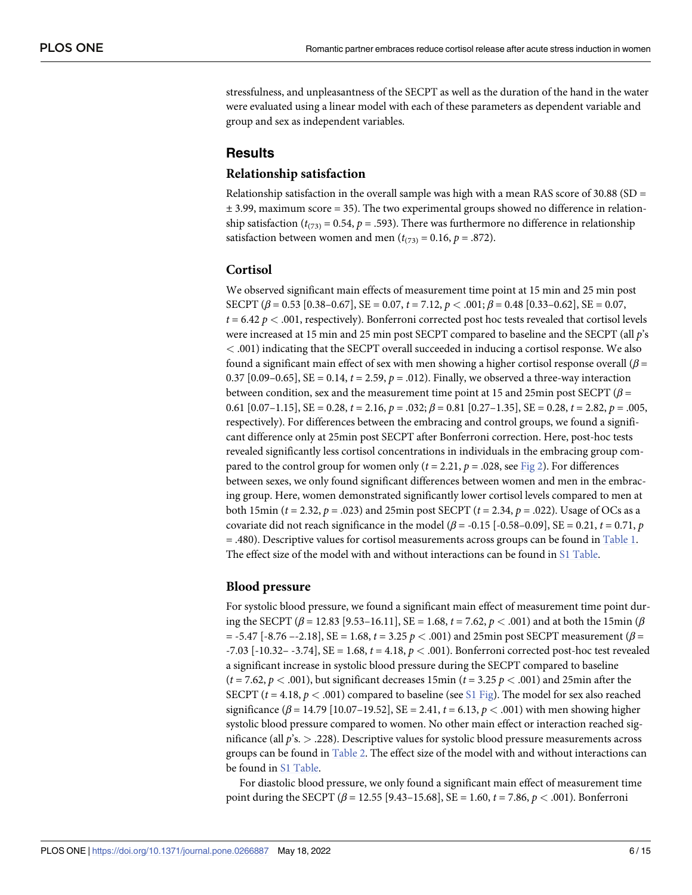<span id="page-5-0"></span>stressfulness, and unpleasantness of the SECPT as well as the duration of the hand in the water were evaluated using a linear model with each of these parameters as dependent variable and group and sex as independent variables.

#### **Results**

#### **Relationship satisfaction**

Relationship satisfaction in the overall sample was high with a mean RAS score of 30.88 (SD =  $\pm$  3.99, maximum score = 35). The two experimental groups showed no difference in relationship satisfaction ( $t_{(73)} = 0.54$ ,  $p = .593$ ). There was furthermore no difference in relationship satisfaction between women and men ( $t_{(73)} = 0.16$ ,  $p = .872$ ).

#### **Cortisol**

We observed significant main effects of measurement time point at 15 min and 25 min post SECPT (*β* = 0.53 [0.38–0.67], SE = 0.07, *t* = 7.12, *p <* .001; *β* = 0.48 [0.33–0.62], SE = 0.07, *t* = 6.42 *p <* .001, respectively). Bonferroni corrected post hoc tests revealed that cortisol levels were increased at 15 min and 25 min post SECPT compared to baseline and the SECPT (all *p*'s *<* .001) indicating that the SECPT overall succeeded in inducing a cortisol response. We also found a significant main effect of sex with men showing a higher cortisol response overall (*β* = 0.37 [0.09–0.65], SE = 0.14, *t* = 2.59, *p* = .012). Finally, we observed a three-way interaction between condition, sex and the measurement time point at 15 and 25min post SECPT (*β* = 0.61 [0.07–1.15], SE = 0.28, *t* = 2.16, *p* = .032; *β* = 0.81 [0.27–1.35], SE = 0.28, *t* = 2.82, *p* = .005, respectively). For differences between the embracing and control groups, we found a significant difference only at 25min post SECPT after Bonferroni correction. Here, post-hoc tests revealed significantly less cortisol concentrations in individuals in the embracing group compared to the control group for women only  $(t = 2.21, p = .028, \text{see Fig 2})$  $(t = 2.21, p = .028, \text{see Fig 2})$  $(t = 2.21, p = .028, \text{see Fig 2})$ . For differences between sexes, we only found significant differences between women and men in the embracing group. Here, women demonstrated significantly lower cortisol levels compared to men at both 15min (*t* = 2.32, *p* = .023) and 25min post SECPT (*t* = 2.34, *p* = .022). Usage of OCs as a covariate did not reach significance in the model ( $\beta$  = -0.15 [-0.58–0.09], SE = 0.21,  $t = 0.71$ ,  $p$ = .480). Descriptive values for cortisol measurements across groups can be found in [Table](#page-7-0) 1. The effect size of the model with and without interactions can be found in S1 [Table](#page-11-0).

#### **Blood pressure**

For systolic blood pressure, we found a significant main effect of measurement time point during the SECPT (*β* = 12.83 [9.53–16.11], SE = 1.68, *t* = 7.62, *p <* .001) and at both the 15min (*β* = -5.47 [-8.76 –-2.18], SE = 1.68, *t* = 3.25 *p <* .001) and 25min post SECPT measurement (*β* = -7.03 [-10.32– -3.74], SE = 1.68, *t* = 4.18, *p <* .001). Bonferroni corrected post-hoc test revealed a significant increase in systolic blood pressure during the SECPT compared to baseline  $(t = 7.62, p < .001)$ , but significant decreases 15min  $(t = 3.25 p < .001)$  and 25min after the SECPT ( $t = 4.18$ ,  $p < .001$ ) compared to baseline (see S1 [Fig\)](#page-11-0). The model for sex also reached significance  $(\beta = 14.79 \, [10.07 - 19.52], \text{SE} = 2.41, t = 6.13, p < .001)$  with men showing higher systolic blood pressure compared to women. No other main effect or interaction reached significance (all *p*'s. *>* .228). Descriptive values for systolic blood pressure measurements across groups can be found in [Table](#page-7-0) 2. The effect size of the model with and without interactions can be found in S1 [Table.](#page-11-0)

For diastolic blood pressure, we only found a significant main effect of measurement time point during the SECPT (*β* = 12.55 [9.43–15.68], SE = 1.60, *t* = 7.86, *p <* .001). Bonferroni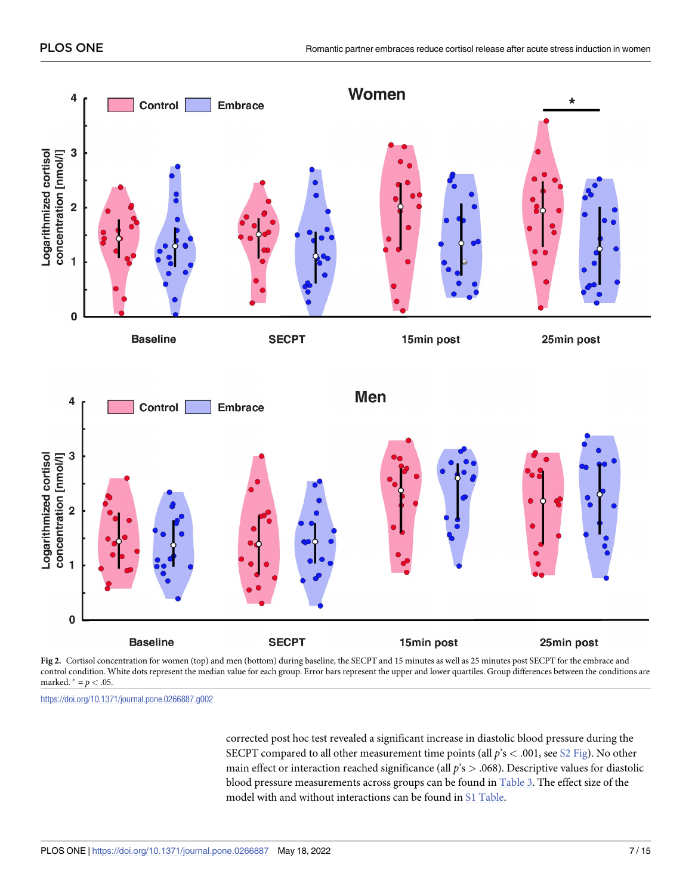<span id="page-6-0"></span>

control condition. White dots represent the median value for each group. Error bars represent the upper and lower quartiles. Group differences between the conditions are marked.  $* = p < .05$ .

<https://doi.org/10.1371/journal.pone.0266887.g002>

corrected post hoc test revealed a significant increase in diastolic blood pressure during the SECPT compared to all other measurement time points (all *p*'s *<* .001, see S2 [Fig\)](#page-11-0). No other main effect or interaction reached significance (all *p*'s *>* .068). Descriptive values for diastolic blood pressure measurements across groups can be found in [Table](#page-8-0) 3. The effect size of the model with and without interactions can be found in S1 [Table.](#page-11-0)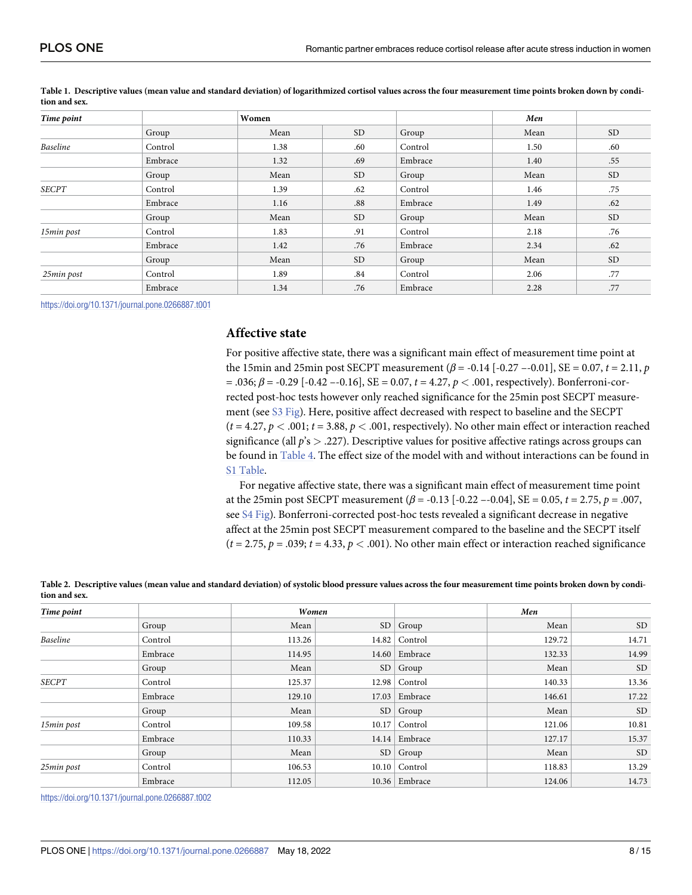| Time point      |         | Women |           |         | Men  |           |
|-----------------|---------|-------|-----------|---------|------|-----------|
|                 | Group   | Mean  | <b>SD</b> | Group   | Mean | <b>SD</b> |
| <b>Baseline</b> | Control | 1.38  | .60       | Control | 1.50 | .60       |
|                 | Embrace | 1.32  | .69       | Embrace | 1.40 | .55       |
|                 | Group   | Mean  | <b>SD</b> | Group   | Mean | <b>SD</b> |
| <b>SECPT</b>    | Control | 1.39  | .62       | Control | 1.46 | .75       |
|                 | Embrace | 1.16  | .88       | Embrace | 1.49 | .62       |
|                 | Group   | Mean  | <b>SD</b> | Group   | Mean | <b>SD</b> |
| 15min post      | Control | 1.83  | .91       | Control | 2.18 | .76       |
|                 | Embrace | 1.42  | .76       | Embrace | 2.34 | .62       |
|                 | Group   | Mean  | <b>SD</b> | Group   | Mean | <b>SD</b> |
| 25min post      | Control | 1.89  | .84       | Control | 2.06 | .77       |
|                 | Embrace | 1.34  | .76       | Embrace | 2.28 | .77       |

<span id="page-7-0"></span>[Table](#page-5-0) 1. Descriptive values (mean value and standard deviation) of logarithmized cortisol values across the four measurement time points broken down by condi**tion and sex.**

<https://doi.org/10.1371/journal.pone.0266887.t001>

#### **Affective state**

For positive affective state, there was a significant main effect of measurement time point at the 15min and 25min post SECPT measurement ( $β$  = -0.14 [-0.27 --0.01], SE = 0.07, *t* = 2.11, *p*  $= .036$ ;  $\beta = -0.29$  [ $-0.42$   $-0.16$ ], SE  $= 0.07$ ,  $t = 4.27$ ,  $p < .001$ , respectively). Bonferroni-corrected post-hoc tests however only reached significance for the 25min post SECPT measurement (see S3 [Fig](#page-11-0)). Here, positive affect decreased with respect to baseline and the SECPT  $(t = 4.27, p < .001; t = 3.88, p < .001$ , respectively). No other main effect or interaction reached significance (all *p*'s *>* .227). Descriptive values for positive affective ratings across groups can be found in [Table](#page-8-0) 4. The effect size of the model with and without interactions can be found in S1 [Table.](#page-11-0)

For negative affective state, there was a significant main effect of measurement time point at the 25min post SECPT measurement (*β* = -0.13 [-0.22 –-0.04], SE = 0.05, *t* = 2.75, *p* = .007, see S4 [Fig\)](#page-11-0). Bonferroni-corrected post-hoc tests revealed a significant decrease in negative affect at the 25min post SECPT measurement compared to the baseline and the SECPT itself  $(t = 2.75, p = .039; t = 4.33, p < .001)$ . No other main effect or interaction reached significance

[Table](#page-5-0) 2. Descriptive values (mean value and standard deviation) of systolic blood pressure values across the four measurement time points broken down by condi**tion and sex.**

| Time point      |         | Women  |                 |                       | Men    |           |
|-----------------|---------|--------|-----------------|-----------------------|--------|-----------|
|                 | Group   | Mean   | SD <sub>1</sub> | Group                 | Mean   | <b>SD</b> |
| <b>Baseline</b> | Control | 113.26 |                 | 14.82 $\vert$ Control | 129.72 | 14.71     |
|                 | Embrace | 114.95 |                 | 14.60   Embrace       | 132.33 | 14.99     |
|                 | Group   | Mean   | SD <sub>1</sub> | Group                 | Mean   | <b>SD</b> |
| <b>SECPT</b>    | Control | 125.37 |                 | $12.98$ Control       | 140.33 | 13.36     |
|                 | Embrace | 129.10 | 17.03           | Embrace               | 146.61 | 17.22     |
|                 | Group   | Mean   | SD <sub>1</sub> | Group                 | Mean   | <b>SD</b> |
| 15min post      | Control | 109.58 |                 | $10.17$ Control       | 121.06 | 10.81     |
|                 | Embrace | 110.33 |                 | 14.14   Embrace       | 127.17 | 15.37     |
|                 | Group   | Mean   | SD <sub>1</sub> | Group                 | Mean   | <b>SD</b> |
| 25min post      | Control | 106.53 |                 | $10.10$ Control       | 118.83 | 13.29     |
|                 | Embrace | 112.05 |                 | $10.36$ Embrace       | 124.06 | 14.73     |

<https://doi.org/10.1371/journal.pone.0266887.t002>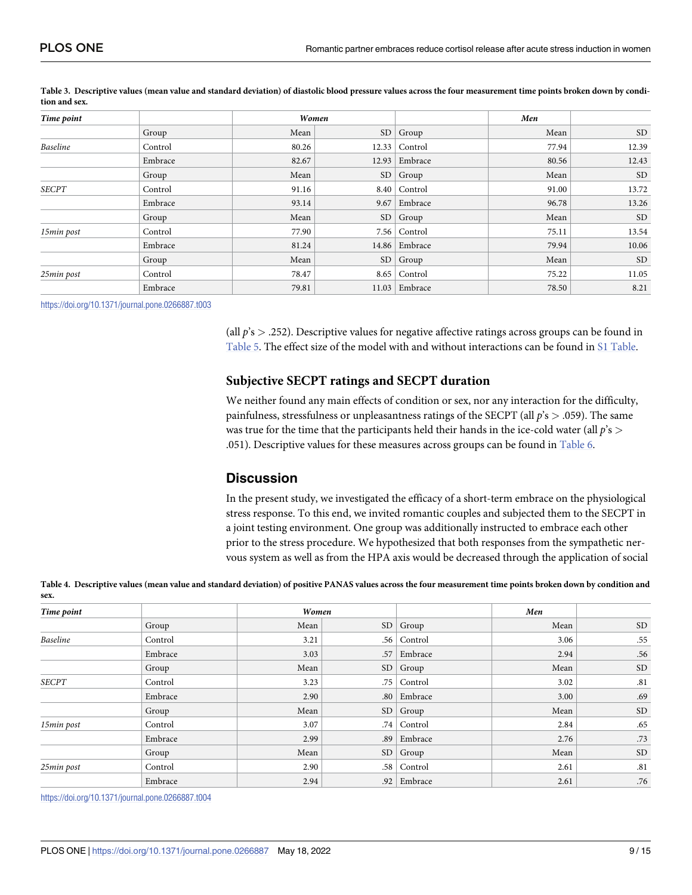| Time point      |         | Women |      |                 | Men   |           |
|-----------------|---------|-------|------|-----------------|-------|-----------|
|                 | Group   | Mean  |      | SD   Group      | Mean  | <b>SD</b> |
| <b>Baseline</b> | Control | 80.26 |      | $12.33$ Control | 77.94 | 12.39     |
|                 | Embrace | 82.67 |      | $12.93$ Embrace | 80.56 | 12.43     |
|                 | Group   | Mean  |      | SD   Group      | Mean  | <b>SD</b> |
| <b>SECPT</b>    | Control | 91.16 |      | $8.40$ Control  | 91.00 | 13.72     |
|                 | Embrace | 93.14 | 9.67 | Embrace         | 96.78 | 13.26     |
|                 | Group   | Mean  | SD   | Group           | Mean  | <b>SD</b> |
| 15min post      | Control | 77.90 |      | $7.56$ Control  | 75.11 | 13.54     |
|                 | Embrace | 81.24 |      | 14.86   Embrace | 79.94 | 10.06     |
|                 | Group   | Mean  |      | SD   Group      | Mean  | <b>SD</b> |
| 25min post      | Control | 78.47 |      | $8.65$ Control  | 75.22 | 11.05     |
|                 | Embrace | 79.81 |      | $11.03$ Embrace | 78.50 | 8.21      |

<span id="page-8-0"></span>[Table](#page-6-0) 3. Descriptive values (mean value and standard deviation) of diastolic blood pressure values across the four measurement time points broken down by condi**tion and sex.**

<https://doi.org/10.1371/journal.pone.0266887.t003>

(all *p*'s *>* .252). Descriptive values for negative affective ratings across groups can be found in [Table](#page-9-0) 5. The effect size of the model with and without interactions can be found in S1 [Table.](#page-11-0)

## **Subjective SECPT ratings and SECPT duration**

We neither found any main effects of condition or sex, nor any interaction for the difficulty, painfulness, stressfulness or unpleasantness ratings of the SECPT (all *p*'s *>* .059). The same was true for the time that the participants held their hands in the ice-cold water (all *p*'s *>* .051). Descriptive values for these measures across groups can be found in [Table](#page-9-0) 6.

# **Discussion**

In the present study, we investigated the efficacy of a short-term embrace on the physiological stress response. To this end, we invited romantic couples and subjected them to the SECPT in a joint testing environment. One group was additionally instructed to embrace each other prior to the stress procedure. We hypothesized that both responses from the sympathetic nervous system as well as from the HPA axis would be decreased through the application of social

[Table](#page-7-0) 4. Descriptive values (mean value and standard deviation) of positive PANAS values across the four measurement time points broken down by condition and **sex.**

| Time point      |         | Women |           |               | Men  |           |
|-----------------|---------|-------|-----------|---------------|------|-----------|
|                 | Group   | Mean  | SD        | Group         | Mean | <b>SD</b> |
| <b>Baseline</b> | Control | 3.21  | .56       | Control       | 3.06 | .55       |
|                 | Embrace | 3.03  | .57       | Embrace       | 2.94 | .56       |
|                 | Group   | Mean  | <b>SD</b> | Group         | Mean | <b>SD</b> |
| <b>SECPT</b>    | Control | 3.23  | .75       | Control       | 3.02 | .81       |
|                 | Embrace | 2.90  |           | .80   Embrace | 3.00 | .69       |
|                 | Group   | Mean  | <b>SD</b> | Group         | Mean | <b>SD</b> |
| 15min post      | Control | 3.07  | .74       | Control       | 2.84 | .65       |
|                 | Embrace | 2.99  | .89       | Embrace       | 2.76 | .73       |
|                 | Group   | Mean  | SD        | Group         | Mean | <b>SD</b> |
| 25min post      | Control | 2.90  | .58       | Control       | 2.61 | .81       |
|                 | Embrace | 2.94  |           | .92 Embrace   | 2.61 | .76       |

<https://doi.org/10.1371/journal.pone.0266887.t004>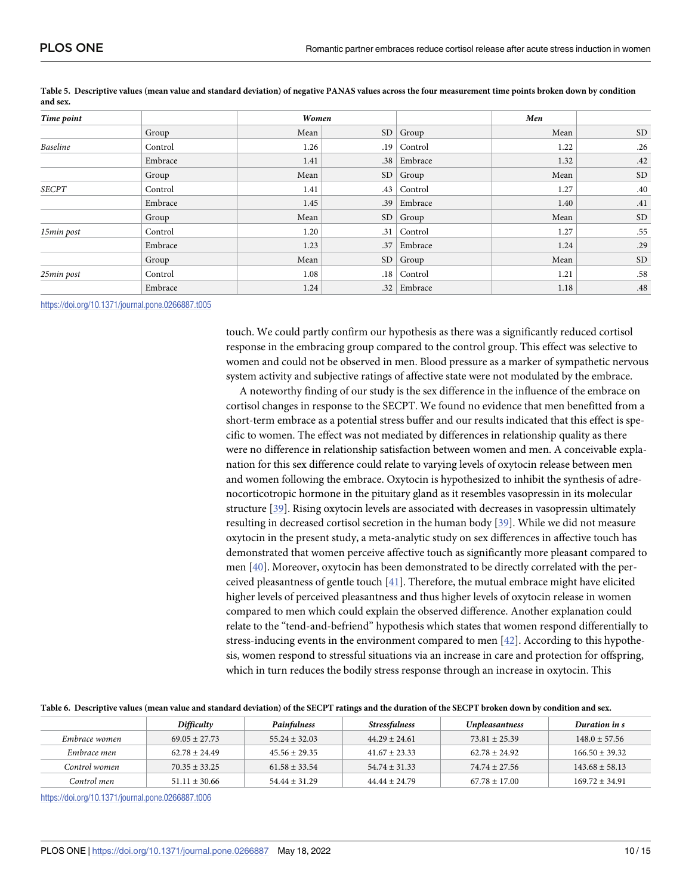| Time point      |         | Women |                  |               | Men  |           |  |
|-----------------|---------|-------|------------------|---------------|------|-----------|--|
|                 | Group   | Mean  | SD               | Group         | Mean | <b>SD</b> |  |
| <b>Baseline</b> | Control | 1.26  | .19              | Control       | 1.22 | .26       |  |
|                 | Embrace | 1.41  | .38 <sup>°</sup> | Embrace       | 1.32 | .42       |  |
|                 | Group   | Mean  | SD               | Group         | Mean | $\rm SD$  |  |
| <b>SECPT</b>    | Control | 1.41  | .43              | Control       | 1.27 | .40       |  |
|                 | Embrace | 1.45  | .39 <sub>1</sub> | Embrace       | 1.40 | .41       |  |
|                 | Group   | Mean  | SD               | Group         | Mean | $\rm SD$  |  |
| 15min post      | Control | 1.20  | .31 <sub>1</sub> | Control       | 1.27 | .55       |  |
|                 | Embrace | 1.23  | .37              | Embrace       | 1.24 | .29       |  |
|                 | Group   | Mean  | SD               | Group         | Mean | $\rm SD$  |  |
| 25min post      | Control | 1.08  | .18 <sub>1</sub> | Control       | 1.21 | .58       |  |
|                 | Embrace | 1.24  |                  | .32   Embrace | 1.18 | .48       |  |

<span id="page-9-0"></span>[Table](#page-8-0) 5. Descriptive values (mean value and standard deviation) of negative PANAS values across the four measurement time points broken down by condition **and sex.**

<https://doi.org/10.1371/journal.pone.0266887.t005>

touch. We could partly confirm our hypothesis as there was a significantly reduced cortisol response in the embracing group compared to the control group. This effect was selective to women and could not be observed in men. Blood pressure as a marker of sympathetic nervous system activity and subjective ratings of affective state were not modulated by the embrace.

A noteworthy finding of our study is the sex difference in the influence of the embrace on cortisol changes in response to the SECPT. We found no evidence that men benefitted from a short-term embrace as a potential stress buffer and our results indicated that this effect is specific to women. The effect was not mediated by differences in relationship quality as there were no difference in relationship satisfaction between women and men. A conceivable explanation for this sex difference could relate to varying levels of oxytocin release between men and women following the embrace. Oxytocin is hypothesized to inhibit the synthesis of adrenocorticotropic hormone in the pituitary gland as it resembles vasopressin in its molecular structure [[39](#page-14-0)]. Rising oxytocin levels are associated with decreases in vasopressin ultimately resulting in decreased cortisol secretion in the human body [[39](#page-14-0)]. While we did not measure oxytocin in the present study, a meta-analytic study on sex differences in affective touch has demonstrated that women perceive affective touch as significantly more pleasant compared to men [[40](#page-14-0)]. Moreover, oxytocin has been demonstrated to be directly correlated with the perceived pleasantness of gentle touch [\[41\]](#page-14-0). Therefore, the mutual embrace might have elicited higher levels of perceived pleasantness and thus higher levels of oxytocin release in women compared to men which could explain the observed difference. Another explanation could relate to the "tend-and-befriend" hypothesis which states that women respond differentially to stress-inducing events in the environment compared to men [\[42\]](#page-14-0). According to this hypothesis, women respond to stressful situations via an increase in care and protection for offspring, which in turn reduces the bodily stress response through an increase in oxytocin. This

| Table 6. Descriptive values (mean value and standard deviation) of the SECPT ratings and the duration of the SECPT broken down by condition and sex. |                   |                   |                   |                       |                    |  |  |  |
|------------------------------------------------------------------------------------------------------------------------------------------------------|-------------------|-------------------|-------------------|-----------------------|--------------------|--|--|--|
|                                                                                                                                                      | Difficulty        | Painfulness       | Stressfulness     | <b>Unpleasantness</b> | Duration in s      |  |  |  |
| Embrace women                                                                                                                                        | $69.05 + 27.73$   | $55.24 \pm 32.03$ | $44.29 \pm 24.61$ | $73.81 + 25.39$       | $148.0 \pm 57.56$  |  |  |  |
| Embrace men                                                                                                                                          | $62.78 + 24.49$   | $45.56 \pm 29.35$ | $41.67 + 23.33$   | $62.78 + 24.92$       | $166.50 + 39.32$   |  |  |  |
| Control women                                                                                                                                        | $70.35 + 33.25$   | $61.58 + 33.54$   | $54.74 + 31.33$   | $74.74 + 27.56$       | $143.68 \pm 58.13$ |  |  |  |
| Control men                                                                                                                                          | $51.11 \pm 30.66$ | $54.44 \pm 31.29$ | $44.44 \pm 24.79$ | $67.78 \pm 17.00$     | $169.72 \pm 34.91$ |  |  |  |

[Table](#page-8-0) 6. Descriptive values (mean value and standard deviation) of the SECPT ratings and the duration of the SECPT broken down by condition and sex.

<https://doi.org/10.1371/journal.pone.0266887.t006>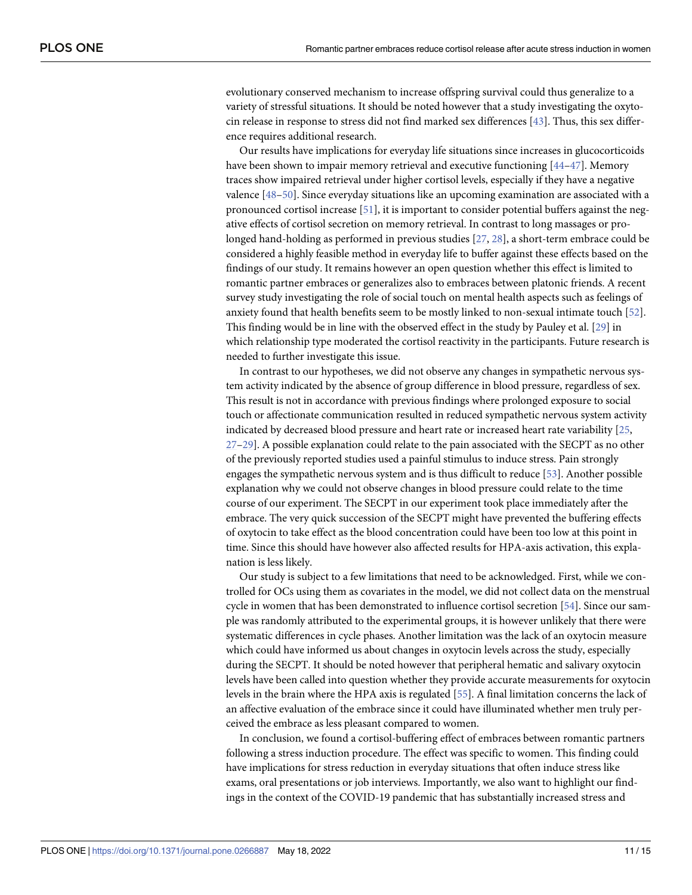<span id="page-10-0"></span>evolutionary conserved mechanism to increase offspring survival could thus generalize to a variety of stressful situations. It should be noted however that a study investigating the oxytocin release in response to stress did not find marked sex differences [[43](#page-14-0)]. Thus, this sex difference requires additional research.

Our results have implications for everyday life situations since increases in glucocorticoids have been shown to impair memory retrieval and executive functioning [[44](#page-14-0)–[47](#page-14-0)]. Memory traces show impaired retrieval under higher cortisol levels, especially if they have a negative valence [\[48–50](#page-14-0)]. Since everyday situations like an upcoming examination are associated with a pronounced cortisol increase [\[51\]](#page-14-0), it is important to consider potential buffers against the negative effects of cortisol secretion on memory retrieval. In contrast to long massages or prolonged hand-holding as performed in previous studies [\[27,](#page-13-0) [28\]](#page-13-0), a short-term embrace could be considered a highly feasible method in everyday life to buffer against these effects based on the findings of our study. It remains however an open question whether this effect is limited to romantic partner embraces or generalizes also to embraces between platonic friends. A recent survey study investigating the role of social touch on mental health aspects such as feelings of anxiety found that health benefits seem to be mostly linked to non-sexual intimate touch [[52](#page-14-0)]. This finding would be in line with the observed effect in the study by Pauley et al. [\[29](#page-13-0)] in which relationship type moderated the cortisol reactivity in the participants. Future research is needed to further investigate this issue.

In contrast to our hypotheses, we did not observe any changes in sympathetic nervous system activity indicated by the absence of group difference in blood pressure, regardless of sex. This result is not in accordance with previous findings where prolonged exposure to social touch or affectionate communication resulted in reduced sympathetic nervous system activity indicated by decreased blood pressure and heart rate or increased heart rate variability [[25](#page-13-0), [27–29](#page-13-0)]. A possible explanation could relate to the pain associated with the SECPT as no other of the previously reported studies used a painful stimulus to induce stress. Pain strongly engages the sympathetic nervous system and is thus difficult to reduce [[53](#page-14-0)]. Another possible explanation why we could not observe changes in blood pressure could relate to the time course of our experiment. The SECPT in our experiment took place immediately after the embrace. The very quick succession of the SECPT might have prevented the buffering effects of oxytocin to take effect as the blood concentration could have been too low at this point in time. Since this should have however also affected results for HPA-axis activation, this explanation is less likely.

Our study is subject to a few limitations that need to be acknowledged. First, while we controlled for OCs using them as covariates in the model, we did not collect data on the menstrual cycle in women that has been demonstrated to influence cortisol secretion [\[54\]](#page-14-0). Since our sample was randomly attributed to the experimental groups, it is however unlikely that there were systematic differences in cycle phases. Another limitation was the lack of an oxytocin measure which could have informed us about changes in oxytocin levels across the study, especially during the SECPT. It should be noted however that peripheral hematic and salivary oxytocin levels have been called into question whether they provide accurate measurements for oxytocin levels in the brain where the HPA axis is regulated [[55\]](#page-14-0). A final limitation concerns the lack of an affective evaluation of the embrace since it could have illuminated whether men truly perceived the embrace as less pleasant compared to women.

In conclusion, we found a cortisol-buffering effect of embraces between romantic partners following a stress induction procedure. The effect was specific to women. This finding could have implications for stress reduction in everyday situations that often induce stress like exams, oral presentations or job interviews. Importantly, we also want to highlight our findings in the context of the COVID-19 pandemic that has substantially increased stress and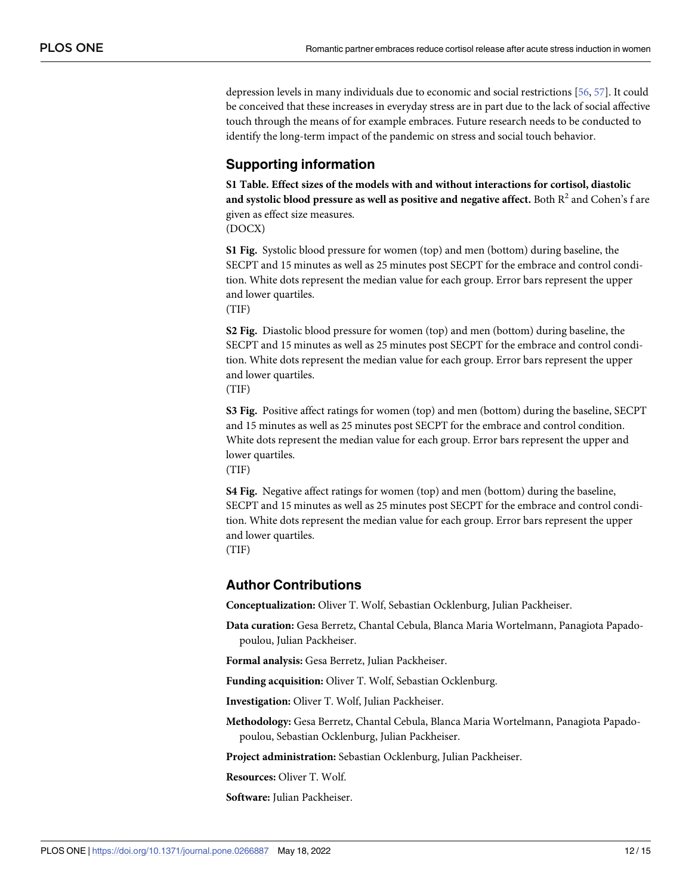<span id="page-11-0"></span>depression levels in many individuals due to economic and social restrictions [[56](#page-14-0), [57](#page-14-0)]. It could be conceived that these increases in everyday stress are in part due to the lack of social affective touch through the means of for example embraces. Future research needs to be conducted to identify the long-term impact of the pandemic on stress and social touch behavior.

# **Supporting information**

**S1 [Table.](http://www.plosone.org/article/fetchSingleRepresentation.action?uri=info:doi/10.1371/journal.pone.0266887.s001) Effect sizes of the models with and without interactions for cortisol, diastolic and systolic blood pressure as well as positive and negative affect.** Both R2 and Cohen's f are given as effect size measures. (DOCX)

**S1 [Fig](http://www.plosone.org/article/fetchSingleRepresentation.action?uri=info:doi/10.1371/journal.pone.0266887.s002).** Systolic blood pressure for women (top) and men (bottom) during baseline, the SECPT and 15 minutes as well as 25 minutes post SECPT for the embrace and control condition. White dots represent the median value for each group. Error bars represent the upper and lower quartiles.

(TIF)

**S2 [Fig](http://www.plosone.org/article/fetchSingleRepresentation.action?uri=info:doi/10.1371/journal.pone.0266887.s003).** Diastolic blood pressure for women (top) and men (bottom) during baseline, the SECPT and 15 minutes as well as 25 minutes post SECPT for the embrace and control condition. White dots represent the median value for each group. Error bars represent the upper and lower quartiles.

(TIF)

**S3 [Fig](http://www.plosone.org/article/fetchSingleRepresentation.action?uri=info:doi/10.1371/journal.pone.0266887.s004).** Positive affect ratings for women (top) and men (bottom) during the baseline, SECPT and 15 minutes as well as 25 minutes post SECPT for the embrace and control condition. White dots represent the median value for each group. Error bars represent the upper and lower quartiles.

(TIF)

**S4 [Fig](http://www.plosone.org/article/fetchSingleRepresentation.action?uri=info:doi/10.1371/journal.pone.0266887.s005).** Negative affect ratings for women (top) and men (bottom) during the baseline, SECPT and 15 minutes as well as 25 minutes post SECPT for the embrace and control condition. White dots represent the median value for each group. Error bars represent the upper and lower quartiles.

(TIF)

# **Author Contributions**

**Conceptualization:** Oliver T. Wolf, Sebastian Ocklenburg, Julian Packheiser.

**Data curation:** Gesa Berretz, Chantal Cebula, Blanca Maria Wortelmann, Panagiota Papadopoulou, Julian Packheiser.

**Formal analysis:** Gesa Berretz, Julian Packheiser.

**Funding acquisition:** Oliver T. Wolf, Sebastian Ocklenburg.

**Investigation:** Oliver T. Wolf, Julian Packheiser.

**Methodology:** Gesa Berretz, Chantal Cebula, Blanca Maria Wortelmann, Panagiota Papadopoulou, Sebastian Ocklenburg, Julian Packheiser.

**Project administration:** Sebastian Ocklenburg, Julian Packheiser.

**Resources:** Oliver T. Wolf.

**Software:** Julian Packheiser.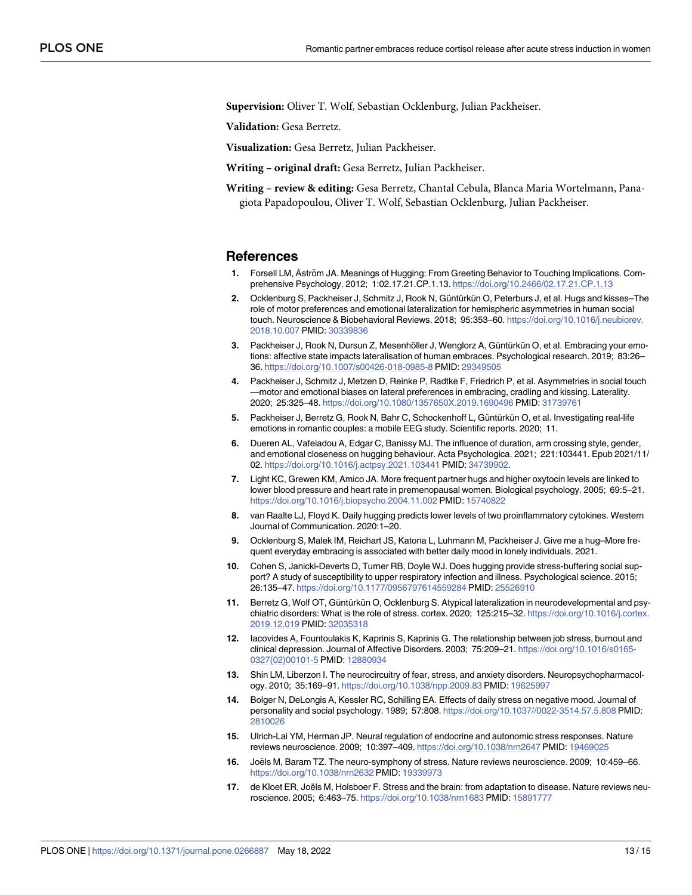<span id="page-12-0"></span>**Supervision:** Oliver T. Wolf, Sebastian Ocklenburg, Julian Packheiser.

**Validation:** Gesa Berretz.

**Visualization:** Gesa Berretz, Julian Packheiser.

**Writing – original draft:** Gesa Berretz, Julian Packheiser.

**Writing – review & editing:** Gesa Berretz, Chantal Cebula, Blanca Maria Wortelmann, Panagiota Papadopoulou, Oliver T. Wolf, Sebastian Ocklenburg, Julian Packheiser.

#### **References**

- **[1](#page-0-0).** Forsell LM, Åström JA. Meanings of Hugging: From Greeting Behavior to Touching Implications. Comprehensive Psychology. 2012; 1:02.17.21.CP.1.13. <https://doi.org/10.2466/02.17.21.CP.1.13>
- **[2](#page-0-0).** Ocklenburg S, Packheiser J, Schmitz J, Rook N, Güntürkün O, Peterburs J, et al. Hugs and kisses–The role of motor preferences and emotional lateralization for hemispheric asymmetries in human social touch. Neuroscience & Biobehavioral Reviews. 2018; 95:353–60. [https://doi.org/10.1016/j.neubiorev.](https://doi.org/10.1016/j.neubiorev.2018.10.007) [2018.10.007](https://doi.org/10.1016/j.neubiorev.2018.10.007) PMID: [30339836](http://www.ncbi.nlm.nih.gov/pubmed/30339836)
- **[3](#page-0-0).** Packheiser J, Rook N, Dursun Z, Mesenhöller J, Wenglorz A, Güntürkün O, et al. Embracing your emotions: affective state impacts lateralisation of human embraces. Psychological research. 2019; 83:26– 36. <https://doi.org/10.1007/s00426-018-0985-8> PMID: [29349505](http://www.ncbi.nlm.nih.gov/pubmed/29349505)
- **[4](#page-0-0).** Packheiser J, Schmitz J, Metzen D, Reinke P, Radtke F, Friedrich P, et al. Asymmetries in social touch —motor and emotional biases on lateral preferences in embracing, cradling and kissing. Laterality. 2020; 25:325–48. <https://doi.org/10.1080/1357650X.2019.1690496> PMID: [31739761](http://www.ncbi.nlm.nih.gov/pubmed/31739761)
- **[5](#page-1-0).** Packheiser J, Berretz G, Rook N, Bahr C, Schockenhoff L, Güntürkün O, et al. Investigating real-life emotions in romantic couples: a mobile EEG study. Scientific reports. 2020; 11.
- **[6](#page-1-0).** Dueren AL, Vafeiadou A, Edgar C, Banissy MJ. The influence of duration, arm crossing style, gender, and emotional closeness on hugging behaviour. Acta Psychologica. 2021; 221:103441. Epub 2021/11/ 02. <https://doi.org/10.1016/j.actpsy.2021.103441> PMID: [34739902.](http://www.ncbi.nlm.nih.gov/pubmed/34739902)
- **[7](#page-1-0).** Light KC, Grewen KM, Amico JA. More frequent partner hugs and higher oxytocin levels are linked to lower blood pressure and heart rate in premenopausal women. Biological psychology. 2005; 69:5–21. <https://doi.org/10.1016/j.biopsycho.2004.11.002> PMID: [15740822](http://www.ncbi.nlm.nih.gov/pubmed/15740822)
- **[8](#page-1-0).** van Raalte LJ, Floyd K. Daily hugging predicts lower levels of two proinflammatory cytokines. Western Journal of Communication. 2020:1–20.
- **[9](#page-1-0).** Ocklenburg S, Malek IM, Reichart JS, Katona L, Luhmann M, Packheiser J. Give me a hug–More frequent everyday embracing is associated with better daily mood in lonely individuals. 2021.
- **[10](#page-2-0).** Cohen S, Janicki-Deverts D, Turner RB, Doyle WJ. Does hugging provide stress-buffering social support? A study of susceptibility to upper respiratory infection and illness. Psychological science. 2015; 26:135–47. <https://doi.org/10.1177/0956797614559284> PMID: [25526910](http://www.ncbi.nlm.nih.gov/pubmed/25526910)
- **[11](#page-1-0).** Berretz G, Wolf OT, Güntürkün O, Ocklenburg S. Atypical lateralization in neurodevelopmental and psychiatric disorders: What is the role of stress. cortex. 2020; 125:215-32. [https://doi.org/10.1016/j.cortex.](https://doi.org/10.1016/j.cortex.2019.12.019) [2019.12.019](https://doi.org/10.1016/j.cortex.2019.12.019) PMID: [32035318](http://www.ncbi.nlm.nih.gov/pubmed/32035318)
- **12.** Iacovides A, Fountoulakis K, Kaprinis S, Kaprinis G. The relationship between job stress, burnout and clinical depression. Journal of Affective Disorders. 2003; 75:209–21. [https://doi.org/10.1016/s0165-](https://doi.org/10.1016/s0165-0327%2802%2900101-5) [0327\(02\)00101-5](https://doi.org/10.1016/s0165-0327%2802%2900101-5) PMID: [12880934](http://www.ncbi.nlm.nih.gov/pubmed/12880934)
- **[13](#page-1-0).** Shin LM, Liberzon I. The neurocircuitry of fear, stress, and anxiety disorders. Neuropsychopharmacology. 2010; 35:169–91. <https://doi.org/10.1038/npp.2009.83> PMID: [19625997](http://www.ncbi.nlm.nih.gov/pubmed/19625997)
- **[14](#page-1-0).** Bolger N, DeLongis A, Kessler RC, Schilling EA. Effects of daily stress on negative mood. Journal of personality and social psychology. 1989; 57:808. <https://doi.org/10.1037//0022-3514.57.5.808> PMID: [2810026](http://www.ncbi.nlm.nih.gov/pubmed/2810026)
- **[15](#page-1-0).** Ulrich-Lai YM, Herman JP. Neural regulation of endocrine and autonomic stress responses. Nature reviews neuroscience. 2009; 10:397–409. <https://doi.org/10.1038/nrn2647> PMID: [19469025](http://www.ncbi.nlm.nih.gov/pubmed/19469025)
- **[16](#page-1-0).** Joëls M, Baram TZ. The neuro-symphony of stress. Nature reviews neuroscience. 2009; 10:459–66. <https://doi.org/10.1038/nrn2632> PMID: [19339973](http://www.ncbi.nlm.nih.gov/pubmed/19339973)
- **[17](#page-1-0).** de Kloet ER, Joëls M, Holsboer F. Stress and the brain: from adaptation to disease. Nature reviews neuroscience. 2005; 6:463–75. <https://doi.org/10.1038/nrn1683> PMID: [15891777](http://www.ncbi.nlm.nih.gov/pubmed/15891777)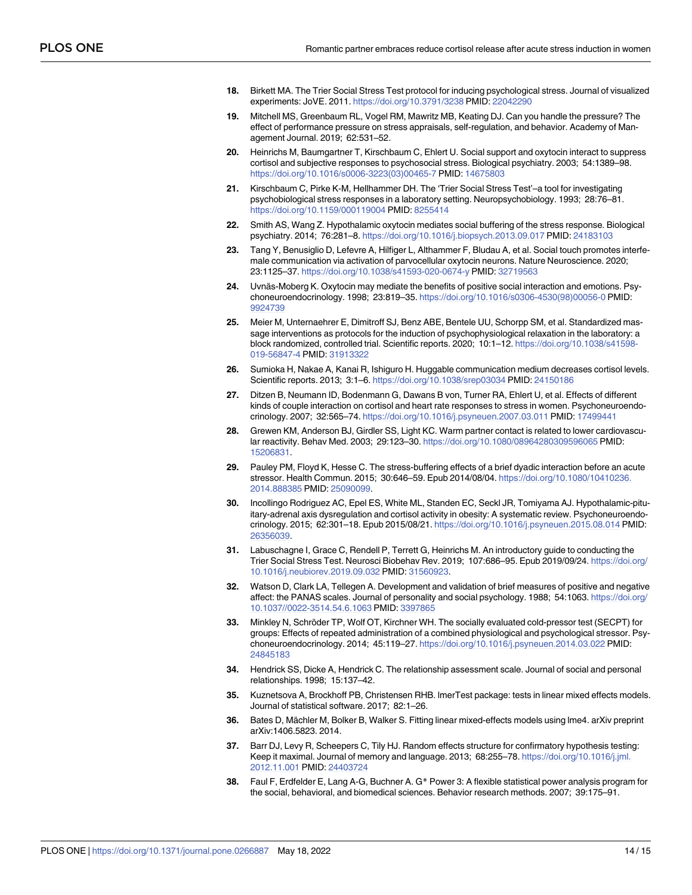- <span id="page-13-0"></span>**[18](#page-1-0).** Birkett MA. The Trier Social Stress Test protocol for inducing psychological stress. Journal of visualized experiments: JoVE. 2011. <https://doi.org/10.3791/3238> PMID: [22042290](http://www.ncbi.nlm.nih.gov/pubmed/22042290)
- **[19](#page-1-0).** Mitchell MS, Greenbaum RL, Vogel RM, Mawritz MB, Keating DJ. Can you handle the pressure? The effect of performance pressure on stress appraisals, self-regulation, and behavior. Academy of Management Journal. 2019; 62:531–52.
- **[20](#page-1-0).** Heinrichs M, Baumgartner T, Kirschbaum C, Ehlert U. Social support and oxytocin interact to suppress cortisol and subjective responses to psychosocial stress. Biological psychiatry. 2003; 54:1389–98. [https://doi.org/10.1016/s0006-3223\(03\)00465-7](https://doi.org/10.1016/s0006-3223%2803%2900465-7) PMID: [14675803](http://www.ncbi.nlm.nih.gov/pubmed/14675803)
- **[21](#page-1-0).** Kirschbaum C, Pirke K-M, Hellhammer DH. The 'Trier Social Stress Test'–a tool for investigating psychobiological stress responses in a laboratory setting. Neuropsychobiology. 1993; 28:76–81. <https://doi.org/10.1159/000119004> PMID: [8255414](http://www.ncbi.nlm.nih.gov/pubmed/8255414)
- **[22](#page-1-0).** Smith AS, Wang Z. Hypothalamic oxytocin mediates social buffering of the stress response. Biological psychiatry. 2014; 76:281–8. <https://doi.org/10.1016/j.biopsych.2013.09.017> PMID: [24183103](http://www.ncbi.nlm.nih.gov/pubmed/24183103)
- **[23](#page-1-0).** Tang Y, Benusiglio D, Lefevre A, Hilfiger L, Althammer F, Bludau A, et al. Social touch promotes interfemale communication via activation of parvocellular oxytocin neurons. Nature Neuroscience. 2020; 23:1125–37. <https://doi.org/10.1038/s41593-020-0674-y> PMID: [32719563](http://www.ncbi.nlm.nih.gov/pubmed/32719563)
- **[24](#page-1-0).** Uvnäs-Moberg K. Oxytocin may mediate the benefits of positive social interaction and emotions. Psychoneuroendocrinology. 1998; 23:819–35. [https://doi.org/10.1016/s0306-4530\(98\)00056-0](https://doi.org/10.1016/s0306-4530%2898%2900056-0) PMID: [9924739](http://www.ncbi.nlm.nih.gov/pubmed/9924739)
- **[25](#page-2-0).** Meier M, Unternaehrer E, Dimitroff SJ, Benz ABE, Bentele UU, Schorpp SM, et al. Standardized massage interventions as protocols for the induction of psychophysiological relaxation in the laboratory: a block randomized, controlled trial. Scientific reports. 2020; 10:1–12. [https://doi.org/10.1038/s41598-](https://doi.org/10.1038/s41598-019-56847-4) [019-56847-4](https://doi.org/10.1038/s41598-019-56847-4) PMID: [31913322](http://www.ncbi.nlm.nih.gov/pubmed/31913322)
- **[26](#page-1-0).** Sumioka H, Nakae A, Kanai R, Ishiguro H. Huggable communication medium decreases cortisol levels. Scientific reports. 2013; 3:1–6. <https://doi.org/10.1038/srep03034> PMID: [24150186](http://www.ncbi.nlm.nih.gov/pubmed/24150186)
- **[27](#page-10-0).** Ditzen B, Neumann ID, Bodenmann G, Dawans B von, Turner RA, Ehlert U, et al. Effects of different kinds of couple interaction on cortisol and heart rate responses to stress in women. Psychoneuroendocrinology. 2007; 32:565–74. <https://doi.org/10.1016/j.psyneuen.2007.03.011> PMID: [17499441](http://www.ncbi.nlm.nih.gov/pubmed/17499441)
- **[28](#page-10-0).** Grewen KM, Anderson BJ, Girdler SS, Light KC. Warm partner contact is related to lower cardiovascular reactivity. Behav Med. 2003; 29:123–30. <https://doi.org/10.1080/08964280309596065> PMID: [15206831](http://www.ncbi.nlm.nih.gov/pubmed/15206831).
- **[29](#page-2-0).** Pauley PM, Floyd K, Hesse C. The stress-buffering effects of a brief dyadic interaction before an acute stressor. Health Commun. 2015; 30:646–59. Epub 2014/08/04. [https://doi.org/10.1080/10410236.](https://doi.org/10.1080/10410236.2014.888385) [2014.888385](https://doi.org/10.1080/10410236.2014.888385) PMID: [25090099.](http://www.ncbi.nlm.nih.gov/pubmed/25090099)
- **[30](#page-2-0).** Incollingo Rodriguez AC, Epel ES, White ML, Standen EC, Seckl JR, Tomiyama AJ. Hypothalamic-pituitary-adrenal axis dysregulation and cortisol activity in obesity: A systematic review. Psychoneuroendocrinology. 2015; 62:301–18. Epub 2015/08/21. <https://doi.org/10.1016/j.psyneuen.2015.08.014> PMID: [26356039](http://www.ncbi.nlm.nih.gov/pubmed/26356039).
- **[31](#page-2-0).** Labuschagne I, Grace C, Rendell P, Terrett G, Heinrichs M. An introductory guide to conducting the Trier Social Stress Test. Neurosci Biobehav Rev. 2019; 107:686–95. Epub 2019/09/24. [https://doi.org/](https://doi.org/10.1016/j.neubiorev.2019.09.032) [10.1016/j.neubiorev.2019.09.032](https://doi.org/10.1016/j.neubiorev.2019.09.032) PMID: [31560923.](http://www.ncbi.nlm.nih.gov/pubmed/31560923)
- **[32](#page-3-0).** Watson D, Clark LA, Tellegen A. Development and validation of brief measures of positive and negative affect: the PANAS scales. Journal of personality and social psychology. 1988; 54:1063. [https://doi.org/](https://doi.org/10.1037//0022-3514.54.6.1063) [10.1037//0022-3514.54.6.1063](https://doi.org/10.1037//0022-3514.54.6.1063) PMID: [3397865](http://www.ncbi.nlm.nih.gov/pubmed/3397865)
- **[33](#page-3-0).** Minkley N, Schröder TP, Wolf OT, Kirchner WH. The socially evaluated cold-pressor test (SECPT) for groups: Effects of repeated administration of a combined physiological and psychological stressor. Psychoneuroendocrinology. 2014; 45:119–27. <https://doi.org/10.1016/j.psyneuen.2014.03.022> PMID: [24845183](http://www.ncbi.nlm.nih.gov/pubmed/24845183)
- **[34](#page-4-0).** Hendrick SS, Dicke A, Hendrick C. The relationship assessment scale. Journal of social and personal relationships. 1998; 15:137–42.
- **[35](#page-4-0).** Kuznetsova A, Brockhoff PB, Christensen RHB. lmerTest package: tests in linear mixed effects models. Journal of statistical software. 2017; 82:1–26.
- **[36](#page-4-0).** Bates D, Mächler M, Bolker B, Walker S. Fitting linear mixed-effects models using lme4. arXiv preprint arXiv:1406.5823. 2014.
- **[37](#page-4-0).** Barr DJ, Levy R, Scheepers C, Tily HJ. Random effects structure for confirmatory hypothesis testing: Keep it maximal. Journal of memory and language. 2013; 68:255–78. [https://doi.org/10.1016/j.jml.](https://doi.org/10.1016/j.jml.2012.11.001) [2012.11.001](https://doi.org/10.1016/j.jml.2012.11.001) PMID: [24403724](http://www.ncbi.nlm.nih.gov/pubmed/24403724)
- **[38](#page-4-0).** Faul F, Erdfelder E, Lang A-G, Buchner A. G\* Power 3: A flexible statistical power analysis program for the social, behavioral, and biomedical sciences. Behavior research methods. 2007; 39:175–91.